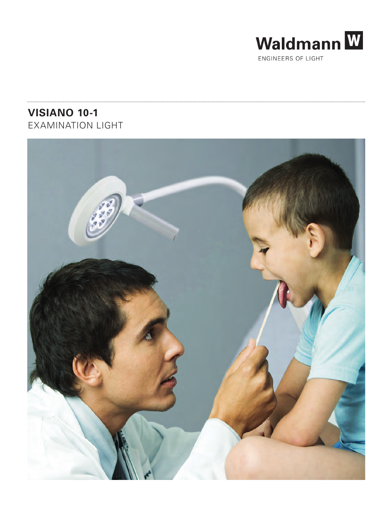

ENGINEERS OF LIGHT

## **VISIANO 10-1** EXAMINATION LIGHT

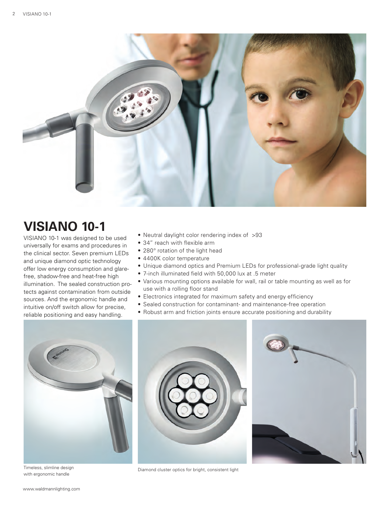

# **VISIANO 10-1**

VISIANO 10-1 was designed to be used universally for exams and procedures in the clinical sector. Seven premium LEDs and unique diamond optic technology offer low energy consumption and glarefree, shadow-free and heat-free high illumination. The sealed construction protects against contamination from outside sources. And the ergonomic handle and intuitive on/off switch allow for precise, reliable positioning and easy handling.

- Neutral daylight color rendering index of >93
- 34" reach with flexible arm
- 280° rotation of the light head
- 4400K color temperature
- Unique diamond optics and Premium LEDs for professional-grade light quality
- 7-inch illuminated field with 50,000 lux at .5 meter
- Various mounting options available for wall, rail or table mounting as well as for use with a rolling floor stand
- Electronics integrated for maximum safety and energy efficiency
- Sealed construction for contaminant- and maintenance-free operation
- Robust arm and friction joints ensure accurate positioning and durability



with ergonomic handle



Timeless, slimline design Timeless, slimline design

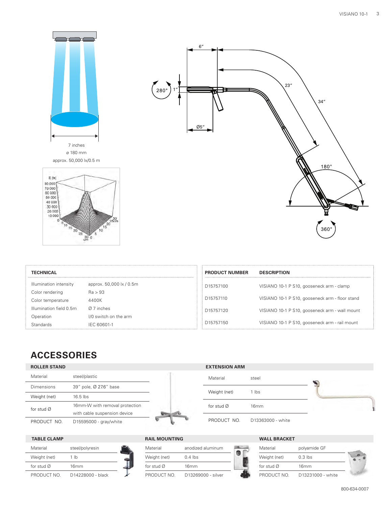



| $\left(\begin{array}{c} \bullet \\ 280^\circ \end{array}\right)$ 1". | $6^{\prime\prime}$  | ⊞ | 23'' |             |  |
|----------------------------------------------------------------------|---------------------|---|------|-------------|--|
|                                                                      | π<br>$\emptyset$ 5" |   |      | 34''        |  |
|                                                                      |                     |   |      | $180^\circ$ |  |
|                                                                      |                     |   |      | $360^\circ$ |  |

| <b>TECHNICAL</b>        |                          |
|-------------------------|--------------------------|
| Illumination intensity  | approx. 50,000 lx / 0.5m |
| Color rendering         | Ra > 93                  |
| Color temperature       | 4400K                    |
| Illumination field 0.5m | $\alpha$ 7 inches        |
| Operation               | I/0 switch on the arm    |
| <b>Standards</b>        | IEC 60601-1              |
|                         |                          |

| <b>PRODUCT NUMBER</b> | <b>DESCRIPTION</b>                              |
|-----------------------|-------------------------------------------------|
| D15757100             | VISIANO 10-1 P S10, gooseneck arm - clamp       |
| D15757110             | VISIANO 10-1 P S10, gooseneck arm - floor stand |
| D15757120             | VISIANO 10-1 P S10, gooseneck arm - wall mount  |
| D15757150             | VISIANO 10-1 P S10, gooseneck arm - rail mount  |

### **ACCESSORIES**

#### **ROLLER STAND EXTENSION ARM**

| Material               | steel/plastic                  |  |
|------------------------|--------------------------------|--|
| Dimensions             | 39" pole, Ø 27.6" base         |  |
| Weight (net)           | $16.5$ lbs                     |  |
| for stud $\varnothing$ | 16mm-W with removal protection |  |
|                        | with cable suspension device   |  |
| PRODUCT NO.            | D15595000 - gray/white         |  |
|                        |                                |  |



#### **TABLE CLAMP**

| Material               | steel/polyresin   |  |
|------------------------|-------------------|--|
| Weight (net)           | 1 <sub>lh</sub>   |  |
| for stud $\varnothing$ | 16mm              |  |
| PRODUCT NO.            | D14228000 - black |  |

| Material               | anodized aluminum  |  |
|------------------------|--------------------|--|
| Weight (net)           | $0.4$ lbs          |  |
| for stud $\varnothing$ | 16mm               |  |
| PRODUCT NO.            | D13269000 - silver |  |

### **RAIL MOUNTING WALL BRACKET**

Material steel

Weight (net) 1 lbs

for stud Ø 16mm

PRODUCT NO. D13363000 - white

| Material               | polyamide GF      |  |  |
|------------------------|-------------------|--|--|
| Weight (net)           | $0.3$ lbs         |  |  |
| for stud $\varnothing$ | 16mm              |  |  |
| PRODUCT NO.            | D13231000 - white |  |  |